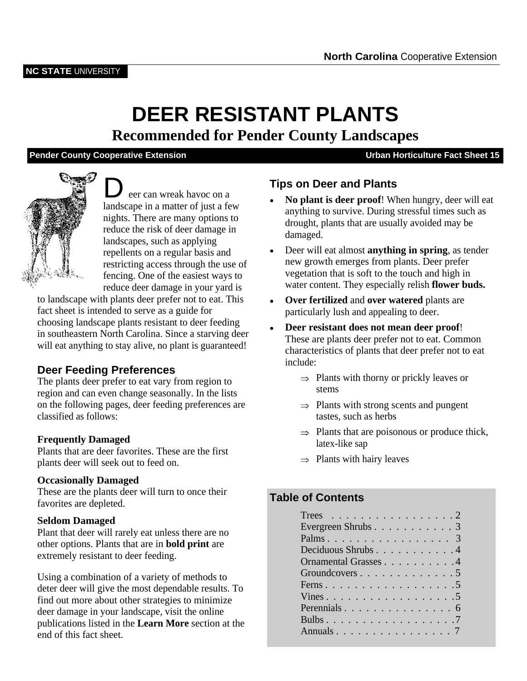# **DEER RESISTANT PLANTS**

**Recommended for Pender County Landscapes**

### **Pender County Cooperative Extension Constrained Avec Sheet 15** Urban Horticulture Fact Sheet 15



**D** eer can wreak havoc on a<br> **C** eer can wreak havoc on a<br> **C No plant is deer proof!** When hungry, deer will eat landscape in a matter of just a few nights. There are many options to reduce the risk of deer damage in damaged. landscapes, such as applying<br>reproduction a requirement of restricting access through the use of fencing. One of the easiest ways to reduce deer damage in your yard is

to landscape with plants deer prefer not to eat. This fact sheet is intended to serve as a guide for choosing landscape plants resistant to deer feeding in southeastern North Carolina. Since a starving deer will eat anything to stay alive, no plant is guaranteed!

# **Deer Feeding Preferences**

The plants deer prefer to eat vary from region to  $\Rightarrow$  Plants<br>region and can such aboves assessmelly. In the lists region and can even change seasonally. In the lists on the following pages, deer feeding preferences are classified as follows:

**Frequently Damaged**<br>Plants that are deer favorites. These are the first states of the sap plants deer will seek out to feed on.

### **Occasionally Damaged**

These are the plants deer will turn to once their<br>
Table of Contents favorites are depleted.

### **Tips on Deer and Plants**

- **No plant is deer proof**! When hungry, deer will eat anything to survive. During stressful times such as drought, plants that are usually avoided may be damaged.
- repellents on a regular basis and Deer will eat almost **anything in spring**, as tender new growth emerges from plants. Deer prefer vegetation that is soft to the touch and high in water content. They especially relish **flower buds.**
	- **Over fertilized** and **over watered** plants are particularly lush and appealing to deer.
	- **Deer resistant does not mean deer proof**! These are plants deer prefer not to eat. Common characteristics of plants that deer prefer not to eat include:
		- $\Rightarrow$  Plants with thorny or prickly leaves or stems **stems**
		- $\Rightarrow$  Plants with strong scents and pungent tastes, such as herbs
- **Frequently Damaged** and the state of the state of the state of the state of the state of the state of the state of the state of the state of the state of the state of the state of the state of the state of the state of th  $\Rightarrow$  Plants that are poisonous or produce thick, latex-like sap
	- $\Rightarrow$  Plants with hairy leaves

### **Table of Contents**

| <b>Seldom Damaged</b><br>Plant that deer will rarely eat unless there are no<br>other options. Plants that are in <b>bold print</b> are<br>extremely resistant to deer feeding. | Trees 2<br>Deciduous Shrubs4<br>Ornamental Grasses4 |
|---------------------------------------------------------------------------------------------------------------------------------------------------------------------------------|-----------------------------------------------------|
| Using a combination of a variety of methods to                                                                                                                                  | Groundcovers5                                       |
| deter deer will give the most dependable results. To                                                                                                                            |                                                     |
| find out more about other strategies to minimize                                                                                                                                |                                                     |
| deer damage in your landscape, visit the online                                                                                                                                 |                                                     |
| publications listed in the Learn More section at the                                                                                                                            | Bulbs7                                              |
| end of this fact sheet.                                                                                                                                                         |                                                     |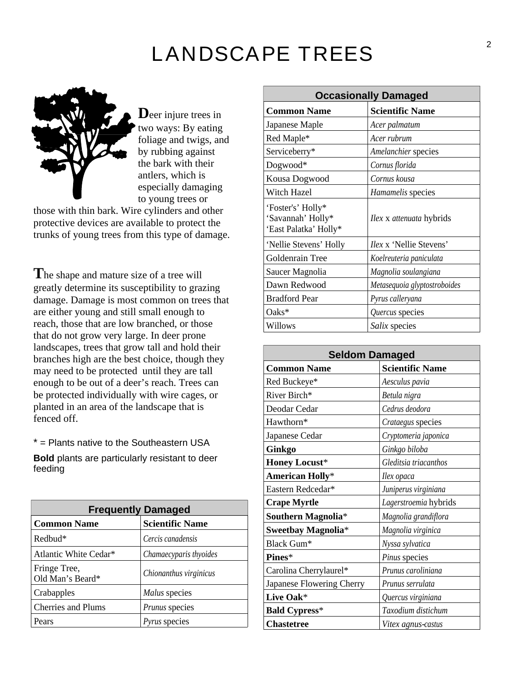# LANDSCAPE TREES



**D**eer injure trees in two ways: By eating foliage and twigs, and by rubbing against the bark with their antlers, which is especially damaging to young trees or

those with thin bark. Wire cylinders and other protective devices are available to protect the trunks of young trees from this type of damage.

**T**he shape and mature size of a tree will greatly determine its susceptibility to grazing damage. Damage is most common on trees that are either young and still small enough to reach, those that are low branched, or those that do not grow very large. In deer prone landscapes, trees that grow tall and hold their branches high are the best choice, though they may need to be protected until they are tall enough to be out of a deer's reach. Trees can be protected individually with wire cages, or planted in an area of the landscape that is

| <b>Frequently Damaged</b>        |                        |
|----------------------------------|------------------------|
| <b>Common Name</b>               | <b>Scientific Name</b> |
| $Redbud*$                        | Cercis canadensis      |
| Atlantic White Cedar*            | Chamaecyparis thyoides |
| Fringe Tree,<br>Old Man's Beard* | Chionanthus virginicus |
| Crabapples                       | Malus species          |
| <b>Cherries and Plums</b>        | Prunus species         |
| Pears                            | <i>Pyrus</i> species   |

|                                                                 | <b>Occasionally Damaged</b>     |
|-----------------------------------------------------------------|---------------------------------|
| <b>Common Name</b>                                              | <b>Scientific Name</b>          |
| Japanese Maple                                                  | Acer palmatum                   |
| Red Maple*                                                      | Acer rubrum                     |
| Serviceberry*                                                   | Amelanchier species             |
| Dogwood*                                                        | Cornus florida                  |
| Kousa Dogwood                                                   | Cornus kousa                    |
| Witch Hazel                                                     | Hamamelis species               |
| 'Foster's' Holly*<br>'Savannah' Holly*<br>'East Palatka' Holly* | <i>Ilex x attenuata hybrids</i> |
| 'Nellie Stevens' Holly                                          | <i>Ilex x</i> 'Nellie Stevens'  |
| Goldenrain Tree                                                 | Koelreuteria paniculata         |
| Saucer Magnolia                                                 | Magnolia soulangiana            |
| Dawn Redwood                                                    | Metasequoia glyptostroboides    |
| <b>Bradford Pear</b>                                            | Pyrus calleryana                |
| Oaks*                                                           | Quercus species                 |
| Willows                                                         | Salix species                   |

|                                                                  | landscapes, trees that grow tall and hold their<br>branches high are the best choice, though they |                           | <b>Seldom Damaged</b> |
|------------------------------------------------------------------|---------------------------------------------------------------------------------------------------|---------------------------|-----------------------|
| may need to be protected until they are tall                     |                                                                                                   | <b>Common Name</b>        | Scientific Name       |
| enough to be out of a deer's reach. Trees can                    |                                                                                                   | Red Buckeye*              | Aesculus pavia        |
| be protected individually with wire cages, or                    |                                                                                                   | River Birch*              | Betula nigra          |
| planted in an area of the landscape that is                      |                                                                                                   | Deodar Cedar              | Cedrus deodora        |
| fenced off.                                                      |                                                                                                   | Hawthorn*                 | Crataegus species     |
| * = Plants native to the Southeastern USA                        |                                                                                                   | Japanese Cedar            | Cryptomeria japonica  |
|                                                                  |                                                                                                   | Ginkgo                    | Ginkgo biloba         |
| <b>Bold</b> plants are particularly resistant to deer<br>feeding |                                                                                                   | <b>Honey Locust*</b>      | Gleditsia triacanthos |
|                                                                  |                                                                                                   | <b>American Holly*</b>    | Ilex opaca            |
|                                                                  |                                                                                                   | Eastern Redcedar*         | Juniperus virginiana  |
|                                                                  |                                                                                                   | <b>Crape Myrtle</b>       | Lagerstroemia hybrids |
|                                                                  | <b>Frequently Damaged</b>                                                                         | Southern Magnolia*        | Magnolia grandiflora  |
| <b>Common Name</b>                                               | <b>Scientific Name</b>                                                                            | Sweetbay Magnolia*        | Magnolia virginica    |
| Redbud*                                                          | Cercis canadensis                                                                                 | Black Gum*                | Nyssa sylvatica       |
| Atlantic White Cedar*                                            | Chamaecyparis thyoides                                                                            | Pines*                    | Pinus species         |
| Fringe Tree,                                                     | Chionanthus virginicus                                                                            | Carolina Cherrylaurel*    | Prunus caroliniana    |
| Old Man's Beard*                                                 |                                                                                                   | Japanese Flowering Cherry | Prunus serrulata      |
| Crabapples                                                       | Malus species                                                                                     | <b>Live Oak*</b>          | Quercus virginiana    |
| Cherries and Plums                                               | Prunus species                                                                                    | <b>Bald Cypress*</b>      | Taxodium distichum    |
| Pears                                                            | <i>Pyrus</i> species                                                                              | <b>Chastetree</b>         | Vitex agnus-castus    |
|                                                                  |                                                                                                   |                           |                       |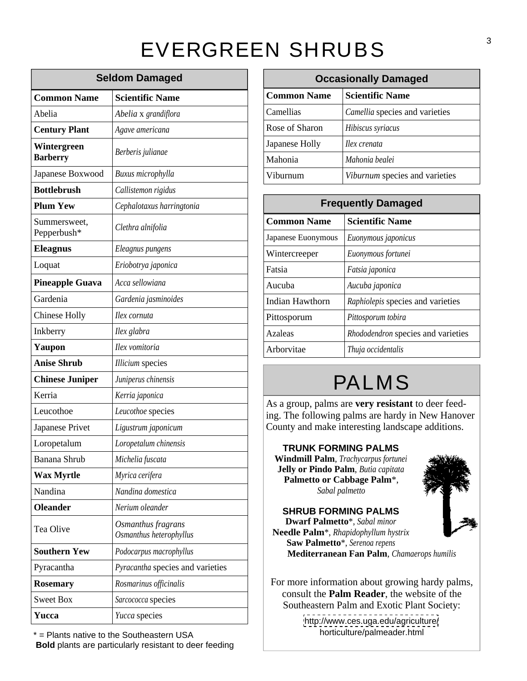# EVERGREEN SHRUBS<sup>3</sup>

|                             | <b>Seldom Damaged</b>                         |                    | <b>Occasionally Damaged</b>                                                                             |  |
|-----------------------------|-----------------------------------------------|--------------------|---------------------------------------------------------------------------------------------------------|--|
| <b>Common Name</b>          | <b>Scientific Name</b>                        | <b>Common Name</b> | <b>Scientific Name</b>                                                                                  |  |
| Abelia                      | Abelia x grandiflora                          | Camellias          | Camellia species and varieties                                                                          |  |
| <b>Century Plant</b>        | Agave americana                               | Rose of Sharon     | Hibiscus syriacus                                                                                       |  |
| Wintergreen                 | Berberis julianae                             | Japanese Holly     | Ilex crenata                                                                                            |  |
| <b>Barberry</b>             |                                               | Mahonia            | Mahonia bealei                                                                                          |  |
| Japanese Boxwood            | Buxus microphylla                             | Viburnum           | Viburnum species and varieties                                                                          |  |
| <b>Bottlebrush</b>          | Callistemon rigidus                           |                    |                                                                                                         |  |
| <b>Plum Yew</b>             | Cephalotaxus harringtonia                     |                    | <b>Frequently Damaged</b>                                                                               |  |
| Summersweet,<br>Pepperbush* | Clethra alnifolia                             | <b>Common Name</b> | <b>Scientific Name</b>                                                                                  |  |
| <b>Eleagnus</b>             | Eleagnus pungens                              | Japanese Euonymous | Euonymous japonicus                                                                                     |  |
| Loquat                      | Eriobotrya japonica                           | Wintercreeper      | Euonymous fortunei                                                                                      |  |
| <b>Pineapple Guava</b>      | Acca sellowiana                               | Fatsia<br>Aucuba   | Fatsia japonica<br>Aucuba japonica                                                                      |  |
| Gardenia                    | Gardenia jasminoides                          | Indian Hawthorn    | Raphiolepis species and varieties                                                                       |  |
| <b>Chinese Holly</b>        | Ilex cornuta                                  | Pittosporum        | Pittosporum tobira                                                                                      |  |
| Inkberry                    | Ilex glabra                                   | Azaleas            | Rhododendron species and varieties                                                                      |  |
| Yaupon                      | Ilex vomitoria                                | Arborvitae         | Thuja occidentalis                                                                                      |  |
| <b>Anise Shrub</b>          | <b>Illicium</b> species                       |                    |                                                                                                         |  |
| <b>Chinese Juniper</b>      | Juniperus chinensis                           |                    | <b>PALMS</b>                                                                                            |  |
| Kerria                      | Kerria japonica                               |                    |                                                                                                         |  |
| Leucothoe                   | Leucothoe species                             |                    | As a group, palms are very resistant to deer feed-<br>ing. The following palms are hardy in New Hanover |  |
| Japanese Privet             | Ligustrum japonicum                           |                    | County and make interesting landscape additions.                                                        |  |
| Loropetalum                 | Loropetalum chinensis                         |                    | <b>TRUNK FORMING PALMS</b>                                                                              |  |
| Banana Shrub                | Michelia fuscata                              |                    | $-100$<br>Windmill Palm, Trachycarpus fortunei                                                          |  |
| <b>Wax Myrtle</b>           | Myrica cerifera                               |                    | Jelly or Pindo Palm, Butia capitata<br>i ty ∗<br>Palmetto or Cabbage Palm*,                             |  |
| Nandina                     | Nandina domestica                             |                    | Sabal palmetto                                                                                          |  |
| <b>Oleander</b>             | Nerium oleander                               |                    | <b>SHRUB FORMING PALMS</b>                                                                              |  |
| Tea Olive                   | Osmanthus fragrans<br>Osmanthus heterophyllus |                    | ノネ<br><b>Dwarf Palmetto*</b> , Sabal minor<br>Needle Palm <sup>*</sup> , Rhapidophyllum hystrix         |  |
| <b>Southern Yew</b>         | Podocarpus macrophyllus                       |                    | Saw Palmetto*, Serenoa repens<br>Mediterranean Fan Palm, Chamaerops humilis                             |  |
| Pyracantha                  | <i>Pyracantha</i> species and varieties       |                    |                                                                                                         |  |
| <b>Rosemary</b>             | Rosmarinus officinalis                        |                    | For more information about growing hardy palms,                                                         |  |
| Sweet Box                   | Sarcococca species                            |                    | consult the <b>Palm Reader</b> , the website of the<br>Southeastern Palm and Exotic Plant Society:      |  |
| Yucca                       | Yucca species                                 |                    | http://www.ces.uga.edu/agriculture/                                                                     |  |

\* = Plants native to the Southeastern USA **Bold** plants are particularly resistant to deer feeding

Camellias *Camellia* species and varieties Mahonia *Mahonia bealei* Viburnum *Viburnum* species and varieties **Common Name Scientific Name** Rose of Sharon *Hibiscus syriacus* Japanese Holly *Ilex crenata* **Seldom Damaged Occasionally Damaged** Viburnum *Viburnum* species and varieties

|                    | <b>Frequently Damaged</b>                |
|--------------------|------------------------------------------|
| <b>Common Name</b> | <b>Scientific Name</b>                   |
|                    | Japanese Euonymous   Euonymous japonicus |
| Wintercreeper      | Euonymous fortunei                       |
| Fatsia             | Fatsia japonica                          |
| Aucuba             | Aucuba japonica                          |
| Indian Hawthorn    | Raphiolepis species and varieties        |
| Pittosporum        | Pittosporum tobira                       |
| Azaleas            | Rhododendron species and varieties       |
| Arborvitae         | Thuja occidentalis                       |

# PALMS

### **TRUNK FORMING PALMS**



*Osmanthus heterophyllus* **Needle Palm**\*, *Rhapidophyllum hystrix* **SHRUB FORMING PALMS Dwarf Palmetto**\*, *Sabal minor* **Saw Palmetto**\*, *Serenoa repens*

<http://www.ces.uga.edu/agriculture/> horticulture/palmeader.html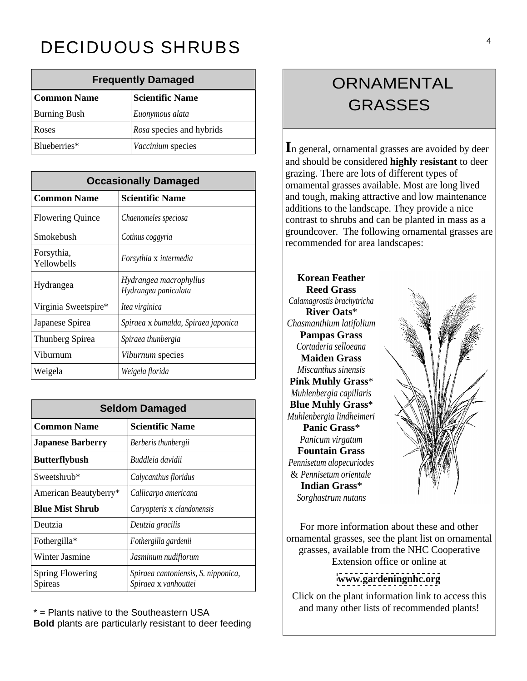# DECIDUOUS SHRUBS

|                     | <b>Frequently Damaged</b>       | <b>ORNAMENTAL</b>                                                  |
|---------------------|---------------------------------|--------------------------------------------------------------------|
| <b>Common Name</b>  | Scientific Name                 | <b>GRASSES</b>                                                     |
| <b>Burning Bush</b> | Euonymous alata                 |                                                                    |
| Roses               | <i>Rosa</i> species and hybrids |                                                                    |
| Blueberries*        | <i>Vaccinium</i> species        | $\vert$ In general, ornamental grasses are avoided by deer $\vert$ |

|                           | <b>Occasionally Damaged</b>                    |
|---------------------------|------------------------------------------------|
| <b>Common Name</b>        | <b>Scientific Name</b>                         |
| Flowering Quince          | Chaenomeles speciosa                           |
| Smokebush                 | Cotinus coggyria                               |
| Forsythia,<br>Yellowbells | Forsythia x intermedia                         |
| Hydrangea                 | Hydrangea macrophyllus<br>Hydrangea paniculata |
| Virginia Sweetspire*      | Itea virginica                                 |
| Japanese Spirea           | Spiraea x bumalda, Spiraea japonica            |
| Thunberg Spirea           | Spiraea thunbergia                             |
| Viburnum                  | Viburnum species                               |
| Weigela                   | Weigela florida                                |

|                                    | <b>Seldom Damaged</b>                                       | <b>Blue Muhly Grass*</b><br>Muhlenbergia lindheimeri                                                      |
|------------------------------------|-------------------------------------------------------------|-----------------------------------------------------------------------------------------------------------|
| <b>Common Name</b>                 | <b>Scientific Name</b>                                      | Panic Grass*                                                                                              |
| <b>Japanese Barberry</b>           | Berberis thunbergii                                         | Panicum virgatum<br><b>Fountain Grass</b>                                                                 |
| <b>Butterflybush</b>               | Buddleia davidii                                            | Pennisetum alopecuriodes                                                                                  |
| Sweetshrub*                        | Calycanthus floridus                                        | & Pennisetum orientale                                                                                    |
| American Beautyberry*              | Callicarpa americana                                        | <b>Indian Grass*</b><br>Sorghastrum nutans                                                                |
| <b>Blue Mist Shrub</b>             | Caryopteris x clandonensis                                  |                                                                                                           |
| Deutzia                            | Deutzia gracilis                                            | For more information about these and other                                                                |
| Fothergilla*                       | Fothergilla gardenii                                        | ornamental grasses, see the plant list on ornamental                                                      |
| Winter Jasmine                     | Jasminum nudiflorum                                         | grasses, available from the NHC Cooperative<br>Extension office or online at                              |
| <b>Spring Flowering</b><br>Spireas | Spiraea cantoniensis, S. nipponica,<br>Spiraea x vanhouttei | www.gardeningnhc.org                                                                                      |
|                                    |                                                             | $\sim$ 1.1 $\sim$ 1.1<br>$\mathbf{a}$ and $\mathbf{a}$ and $\mathbf{a}$ and $\mathbf{a}$ and $\mathbf{a}$ |

\* = Plants native to the Southeastern USA and many other lists of recommended plants! **Bold** plants are particularly resistant to deer feeding

# GRASSES

**Occasionally Damaged or all property and the contract of the contract of the contract of the contract of the contract of the contract of the contract of the contract of the contract of the contract of the contract of th** and should be considered **highly resistant** to deer grazing. There are lots of different types of additions to the landscape. They provide a nice groundcover. The following ornamental grasses are recommended for area landscapes:

> **Korean Feather Reed Grass Pampas Grass Maiden Grass Pink Muhly Grass**\* **Blue Muhly Grass**\* *Muhlenbergia lindheimeri* **Fountain Grass** *Sorghastrum nutans*



### **[www.gardeningnhc.org](http://www.gardeningnhc.org)**

Click on the plant information link to access this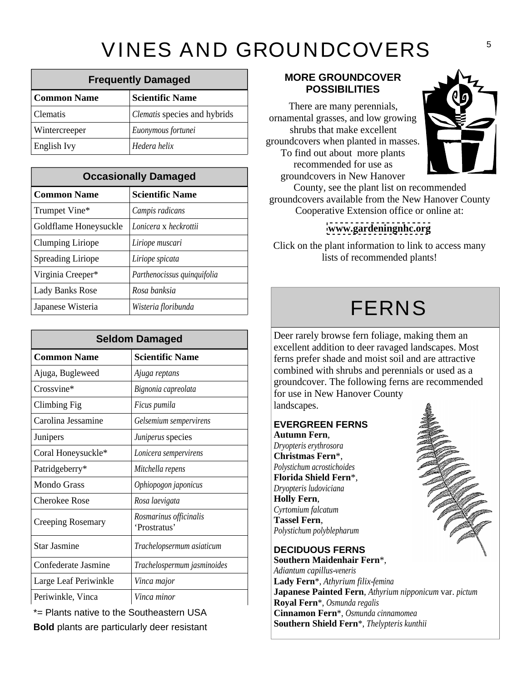# VINES AND GROUNDCOVERS

|                    | <b>Frequently Damaged</b>           | <b>MORE GROUNDCOVER</b><br><b>POSSIBILITIES</b>                       |
|--------------------|-------------------------------------|-----------------------------------------------------------------------|
| <b>Common Name</b> | <b>Scientific Name</b>              |                                                                       |
| Clematis           | <i>Clematis</i> species and hybrids | There are many perennials,<br>ornamental grasses, and low growing     |
| Wintercreeper      | Euonymous fortunei                  | shrubs that make excellent                                            |
| <b>English Ivy</b> | Hedera helix                        | groundcovers when planted in masses.<br>To find out about more plante |

|                                                    | <b>Occasionally Damaged</b> | recommended for doe as<br><b>Report</b><br>groundcovers in New Hanover                          |
|----------------------------------------------------|-----------------------------|-------------------------------------------------------------------------------------------------|
| <b>Common Name</b>                                 | <b>Scientific Name</b>      | County, see the plant list on recommended<br>groundcovers available from the New Hanover County |
| Trumpet Vine*                                      | Campis radicans             | Cooperative Extension office or online at:                                                      |
| Goldflame Honeysuckle <i>Lonicera</i> x heckrottii |                             | www.gardeningnhc.org                                                                            |
| Clumping Liriope                                   | Liriope muscari             | Click on the plant information to link to access many                                           |
| Spreading Liriope                                  | Liriope spicata             | lists of recommended plants!                                                                    |
| Virginia Creeper*                                  | Parthenocissus quinquifolia |                                                                                                 |
| Lady Banks Rose                                    | Rosa banksia                |                                                                                                 |
| Japanese Wisteria                                  | Wisteria floribunda         | FFRNS                                                                                           |

|                          | <b>Seldom Damaged</b>                  | Deer rarely browse fern foliage, making them an                                                                                                                              |
|--------------------------|----------------------------------------|------------------------------------------------------------------------------------------------------------------------------------------------------------------------------|
| <b>Common Name</b>       | <b>Scientific Name</b>                 | excellent addition to deer ravaged landscapes. Most<br>ferns prefer shade and moist soil and are attractive                                                                  |
| Ajuga, Bugleweed         | Ajuga reptans                          | combined with shrubs and perennials or used as a                                                                                                                             |
| Crossvine*               | Bignonia capreolata                    | groundcover. The following ferns are recommended<br>for use in New Hanover County                                                                                            |
| Climbing Fig             | Ficus pumila                           | landscapes.                                                                                                                                                                  |
| Carolina Jessamine       | Gelsemium sempervirens                 | <b>EVERGREEN FERNS</b>                                                                                                                                                       |
| Junipers                 | Juniperus species                      | Autumn Fern,                                                                                                                                                                 |
| Coral Honeysuckle*       | Lonicera sempervirens                  | Dryopteris erythrosora<br>Christmas Fern*,                                                                                                                                   |
| Patridgeberry*           | Mitchella repens                       | Polystichum acrostichoides                                                                                                                                                   |
| Mondo Grass              | Ophiopogon japonicus                   | Florida Shield Fern*,<br>Dryopteris ludoviciana                                                                                                                              |
| Cherokee Rose            | Rosa laevigata                         | <b>Holly Fern,</b>                                                                                                                                                           |
| <b>Creeping Rosemary</b> | Rosmarinus officinalis<br>'Prostratus' | Cyrtomium falcatum<br><b>Tassel Fern,</b><br>Polystichum polyblepharum                                                                                                       |
| Star Jasmine             | Trachelopsermum asiaticum              | <b>DECIDUOUS FERNS</b>                                                                                                                                                       |
| Confederate Jasmine      | Trachelospermum jasminoides            | Southern Maidenhair Fern*,                                                                                                                                                   |
| Large Leaf Periwinkle    | Vinca major                            | Adiantum capillus-veneris<br>Lady Fern <sup>*</sup> , Athyrium filix-femina                                                                                                  |
| Periwinkle, Vinca        | Vinca minor                            | Japanese Painted Fern, Athyrium nipponicum var. pictum<br>$\mathbf{D}_{\alpha}$ real $\mathbf{E}_{\alpha}$ $\mathbf{E}_{\alpha}$ $\mathbf{E}_{\alpha}$ $\mathbf{E}_{\alpha}$ |

**Bold** plants are particularly deer resistant

### **MORE GROUNDCOVER**  POSSIBILITIES **POSSIBILITIES**

There are many perennials, groundcovers when planted in masses. To find out about more plants recommended for use as groundcovers in New Hanover



### www.gardeningnhc.org **[www.gardeningnhc.org](http://www.gardeningnhc.org)**

# FERNS

### **EVERGREEN FERNS Autumn Fern**,

*Dryopteris erythrosora* **Christmas Fern**\*, *Polystichum acrostichoides* **Florida Shield Fern**\*, *Dryopteris ludoviciana* **Holly Fern**, *Cyrtomium falcatum* **Tassel Fern**, *Polystichum polyblepharum*

## **DECIDUOUS FERNS**

 $*$  Plants native to the Southeastern USA  $\begin{array}{c} \textbf{Cinnamon Fern}^*, \textit{Osmunda cinnamomea} \\ \textbf{Cernhamon Fern}^*, \textit{Osmunda cinnamomea} \end{array}$ **Southern Maidenhair Fern**\*, *Adiantum capillus-veneris* **Japanese Painted Fern**, *Athyrium nipponicum* var. *pictum* **Royal Fern**\*, *Osmunda regalis* **Cinnamon Fern**\*, *Osmunda cinnamomea* **Southern Shield Fern**\*, *Thelypteris kunthii*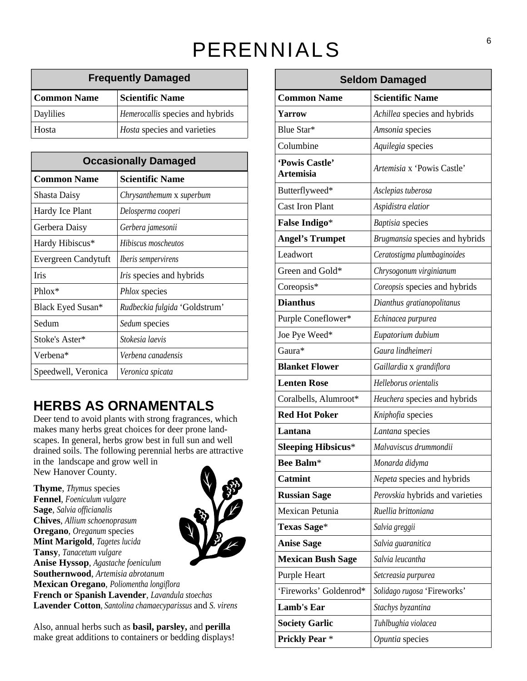# PERENNIALS

| <b>Frequently Damaged</b> |                                  |
|---------------------------|----------------------------------|
| <b>Common Name</b>        | <b>Scientific Name</b>           |
| Daylilies                 | Hemerocallis species and hybrids |
| Hosta                     | Hosta species and varieties      |

|                             | <b>Occasionally Damaged</b>     | 'Powis Castle'         | Artemisia x 'Powis Castle'     |
|-----------------------------|---------------------------------|------------------------|--------------------------------|
| <b>Common Name</b>          | <b>Scientific Name</b>          | Artemisia              |                                |
| Shasta Daisy                | Chrysanthemum x superbum        | Butterflyweed*         | Asclepias tuberosa             |
| Hardy Ice Plant             | Delosperma cooperi              | Cast Iron Plant        | Aspidistra elatior             |
| Gerbera Daisy               | Gerbera jamesonii               | <b>False Indigo*</b>   | <b>Baptisia</b> species        |
| Hardy Hibiscus <sup>*</sup> | Hibiscus moscheutos             | <b>Angel's Trumpet</b> | Brugmansia species and hybrids |
| Evergreen Candytuft         | Iberis sempervirens             | Leadwort               | Ceratostigma plumbaginoides    |
| Iris                        | <i>Iris</i> species and hybrids | Green and Gold*        | Chrysogonum virginianum        |
| Phlox*                      | Phlox species                   | Coreopsis*             | Coreopsis species and hybrids  |
| Black Eyed Susan*           | Rudbeckia fulgida 'Goldstrum'   | <b>Dianthus</b>        | Dianthus gratianopolitanus     |
| Sedum                       | Sedum species                   | Purple Coneflower*     | <i>Echinacea purpurea</i>      |
| Stoke's Aster*              | Stokesia laevis                 | Joe Pye Weed*          | Eupatorium dubium              |
| Verbena*                    | Verbena canadensis              | Gaura*                 | Gaura lindheimeri              |
| Speedwell, Veronica         | Veronica spicata                | <b>Blanket Flower</b>  | Gaillardia x grandiflora       |
|                             |                                 |                        | - - - -                        |

# **HERBS AS ORNAMENTALS**

|                                                                | <b>Frequently Damaged</b>                                                                                                 |                           | <b>Seldom Damaged</b>                                |
|----------------------------------------------------------------|---------------------------------------------------------------------------------------------------------------------------|---------------------------|------------------------------------------------------|
| <b>Common Name</b>                                             | <b>Scientific Name</b>                                                                                                    | <b>Common Name</b>        | <b>Scientific Name</b>                               |
| Daylilies                                                      | Hemerocallis species and hybrids                                                                                          | Yarrow                    | Achillea species and hybrids                         |
| Hosta                                                          | <i>Hosta</i> species and varieties                                                                                        | Blue Star*                | Amsonia species                                      |
|                                                                |                                                                                                                           | Columbine                 | Aquilegia species                                    |
|                                                                | <b>Occasionally Damaged</b>                                                                                               | 'Powis Castle'            |                                                      |
| <b>Common Name</b>                                             | <b>Scientific Name</b>                                                                                                    | Artemisia                 | Artemisia x 'Powis Castle'                           |
| <b>Shasta Daisy</b>                                            | Chrysanthemum x superbum                                                                                                  | Butterflyweed*            | Asclepias tuberosa                                   |
|                                                                |                                                                                                                           | Cast Iron Plant           | Aspidistra elatior                                   |
| Hardy Ice Plant                                                | Delosperma cooperi                                                                                                        | <b>False Indigo*</b>      | Baptisia species                                     |
| Gerbera Daisy                                                  | Gerbera jamesonii                                                                                                         | <b>Angel's Trumpet</b>    | <i>Brugmansia</i> species and hybrids                |
| Hardy Hibiscus*                                                | Hibiscus moscheutos                                                                                                       |                           |                                                      |
| Evergreen Candytuft   Iberis sempervirens                      |                                                                                                                           | Leadwort                  | Ceratostigma plumbaginoides                          |
| lrıs.                                                          | <i>Iris</i> species and hybrids                                                                                           | Green and Gold*           | Chrysogonum virginianum                              |
| Phlox*                                                         | Phlox species                                                                                                             | Coreopsis*                | Coreopsis species and hybrids                        |
| <b>Black Eyed Susan*</b>                                       | Rudbeckia fulgida 'Goldstrum'                                                                                             | <b>Dianthus</b>           | Dianthus gratianopolitanus                           |
| Sedum                                                          | Sedum species                                                                                                             | Purple Coneflower*        | Echinacea purpurea                                   |
| Stoke's Aster*                                                 | Stokesia laevis                                                                                                           | Joe Pye Weed*             | Eupatorium dubium                                    |
| Verbena*                                                       | Verbena canadensis                                                                                                        | Gaura*                    | Gaura lindheimeri                                    |
| Speedwell, Veronica                                            | Veronica spicata                                                                                                          | <b>Blanket Flower</b>     | Gaillardia x grandiflora                             |
|                                                                |                                                                                                                           | <b>Lenten Rose</b>        | Helleborus orientalis                                |
|                                                                |                                                                                                                           | Coralbells, Alumroot*     | Heuchera species and hybrids                         |
|                                                                | <b>HERBS AS ORNAMENTALS</b>                                                                                               | <b>Red Hot Poker</b>      | Kniphofia species                                    |
|                                                                | Deer tend to avoid plants with strong fragrances, which<br>makes many herbs great choices for deer prone land-            | Lantana                   | Lantana species                                      |
|                                                                | scapes. In general, herbs grow best in full sun and well                                                                  | <b>Sleeping Hibsicus*</b> | Malvaviscus drummondii                               |
| in the landscape and grow well in                              | drained soils. The following perennial herbs are attractive                                                               |                           |                                                      |
| New Hanover County.                                            |                                                                                                                           | Bee Balm*                 | Monarda didyma                                       |
| Thyme, Thymus species                                          | $\mathcal{L}$                                                                                                             | <b>Catmint</b>            | Nepeta species and hybrids                           |
| Fennel, Foeniculum vulgare                                     |                                                                                                                           | <b>Russian Sage</b>       | <i>Perovskia</i> hybrids and varieties               |
| Sage, Salvia officianalis<br>Chives, Allium schoenoprasum      | RYO                                                                                                                       | Mexican Petunia           | Ruellia brittoniana                                  |
| Oregano, Oreganum species                                      |                                                                                                                           | <b>Texas Sage*</b>        | Salvia greggii                                       |
| Mint Marigold, Tagetes lucida                                  | VBA                                                                                                                       | <b>Anise Sage</b>         | Salvia guaranitica                                   |
| Tansy, Tanacetum vulgare<br>Anise Hyssop, Agastache foeniculum |                                                                                                                           | <b>Mexican Bush Sage</b>  | Salvia leucantha                                     |
| Southernwood, Artemisia abrotanum                              |                                                                                                                           | Purple Heart              | Setcreasia purpurea                                  |
| Mexican Oregano, Poliomentha longiflora                        |                                                                                                                           |                           | 'Fireworks' Goldenrod*   Solidago rugosa 'Fireworks' |
|                                                                | French or Spanish Lavender, Lavandula stoechas<br>Lavender Cotton, Santolina chamaecyparissus and S. virens               | Lamb's Ear                | Stachys byzantina                                    |
|                                                                |                                                                                                                           | <b>Society Garlic</b>     | Tuhlbughia violacea                                  |
|                                                                | Also, annual herbs such as <b>basil</b> , parsley, and perilla<br>make great additions to containers or bedding displays! | <b>Prickly Pear</b> *     |                                                      |
|                                                                |                                                                                                                           |                           | Opuntia species                                      |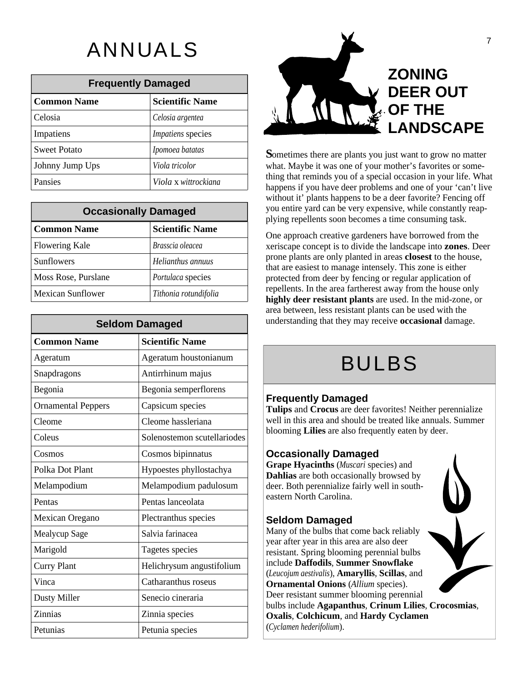|                     | <b>Frequently Damaged</b> |
|---------------------|---------------------------|
| Common Name         | <b>Scientific Name</b>    |
| Celosia             | Celosia argentea          |
| Impatiens           | Impatiens species         |
| <b>Sweet Potato</b> | Ipomoea batatas           |
| Johnny Jump Ups     | Viola tricolor            |
| Pansies             | Viola x wittrockiana      |

|                          | <b>Occasionally Damaged</b> | you entire yard can be very expensive, while constantly reap-<br>plying repellents soon becomes a time consuming task.           |
|--------------------------|-----------------------------|----------------------------------------------------------------------------------------------------------------------------------|
| <b>Common Name</b>       | Scientific Name             | One approach creative gardeners have borrowed from the                                                                           |
| Flowering Kale           | Brasscia oleacea            | xeriscape concept is to divide the landscape into <b>zones</b> . Deer                                                            |
| Sunflowers               | Helianthus annuus           | prone plants are only planted in areas <b>closest</b> to the house,<br>that are easiest to manage intensely. This zone is either |
| Moss Rose, Purslane      | <i>Portulaca</i> species    | protected from deer by fencing or regular application of                                                                         |
| <b>Mexican Sunflower</b> | Tithonia rotundifolia       | repellents. In the area fartherest away from the house only<br>highly deer resistant plants are used. In the mid-zone, or        |

|                           | <b>Seldom Damaged</b>       | understanding that they may receive occasional damage. |
|---------------------------|-----------------------------|--------------------------------------------------------|
| <b>Common Name</b>        | <b>Scientific Name</b>      |                                                        |
| Ageratum                  | Ageratum houstonianum       |                                                        |
| Snapdragons               | Antirrhinum majus           |                                                        |
| Begonia                   | Begonia semperflorens       |                                                        |
| <b>Ornamental Peppers</b> | Capsicum species            |                                                        |
| Cleome                    | Cleome hassleriana          |                                                        |
| Coleus                    | Solenostemon scutellariodes |                                                        |
| Cosmos                    | Cosmos bipinnatus           |                                                        |
| Polka Dot Plant           | Hypoestes phyllostachya     |                                                        |
| Melampodium               | Melampodium padulosum       |                                                        |
| Pentas                    | Pentas lanceolata           |                                                        |
| Mexican Oregano           | Plectranthus species        |                                                        |
| Mealycup Sage             | Salvia farinacea            |                                                        |
| Marigold                  | Tagetes species             |                                                        |
| <b>Curry Plant</b>        | Helichrysum angustifolium   |                                                        |
| Vinca                     | Catharanthus roseus         |                                                        |
| Dusty Miller              | Senecio cineraria           |                                                        |
| Zinnias                   | <b>Zinnia</b> species       |                                                        |
| Petunias                  | Petunia species             |                                                        |



**Occasionally Damaged** you entire yard can be very expensive, while constantly reap-Pansies *Viola* x *wittrockiana* happens if you have deer problems and one of your 'can't live Johnny Jump Ups *Viola tricolor* **and** *Viola tricolor* what. Maybe it was one of your mother's favorites or something that reminds you of a special occasion in your life. What without it' plants happens to be a deer favorite? Fencing off plying repellents soon becomes a time consuming task.

**Seldom Damaged understanding that they may receive occasional damage.** Flowering Kale *Brasscia oleacea* xeriscape concept is to divide the landscape into **zones**. Deer Sunflowers<br> *Helianthus annuus*<br>
that are easiest to manage intensely. This zone is either Moss Rose, Purslane *Portulaca* species and protected from deer by fencing or regular application of Mexican Sunflower *Tithonia rotundifolia* **highly deer resistant plants** are used. In the mid-zone, or One approach creative gardeners have borrowed from the prone plants are only planted in areas **closest** to the house, repellents. In the area fartherest away from the house only area between, less resistant plants can be used with the

# BULBS

## **Frequently Damaged**

### **Occasionally Damaged Occasionally Damaged**

## **Seldom Damaged**